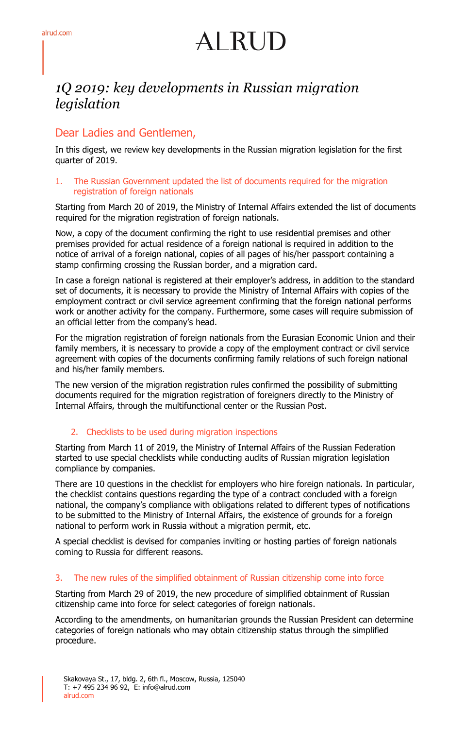# $AIRHD$

### *1Q 2019: key developments in Russian migration legislation*

#### Dear Ladies and Gentlemen,

In this digest, we review key developments in the Russian migration legislation for the first quarter of 2019.

#### 1. The Russian Government updated the list of documents required for the migration registration of foreign nationals

Starting from March 20 of 2019, the Ministry of Internal Affairs extended the list of documents required for the migration registration of foreign nationals.

Now, a copy of the document confirming the right to use residential premises and other premises provided for actual residence of a foreign national is required in addition to the notice of arrival of a foreign national, copies of all pages of his/her passport containing a stamp confirming crossing the Russian border, and a migration card.

In case a foreign national is registered at their employer's address, in addition to the standard set of documents, it is necessary to provide the Ministry of Internal Affairs with copies of the employment contract or civil service agreement confirming that the foreign national performs work or another activity for the company. Furthermore, some cases will require submission of an official letter from the company's head.

For the migration registration of foreign nationals from the Eurasian Economic Union and their family members, it is necessary to provide a copy of the employment contract or civil service agreement with copies of the documents confirming family relations of such foreign national and his/her family members.

The new version of the migration registration rules confirmed the possibility of submitting documents required for the migration registration of foreigners directly to the Ministry of Internal Affairs, through the multifunctional center or the Russian Post.

#### 2. Checklists to be used during migration inspections

Starting from March 11 of 2019, the Ministry of Internal Affairs of the Russian Federation started to use special checklists while conducting audits of Russian migration legislation compliance by companies.

There are 10 questions in the checklist for employers who hire foreign nationals. In particular, the checklist contains questions regarding the type of a contract concluded with a foreign national, the company's compliance with obligations related to different types of notifications to be submitted to the Ministry of Internal Affairs, the existence of grounds for a foreign national to perform work in Russia without a migration permit, etc.

A special checklist is devised for companies inviting or hosting parties of foreign nationals coming to Russia for different reasons.

#### 3. The new rules of the simplified obtainment of Russian citizenship come into force

Starting from March 29 of 2019, the new procedure of simplified obtainment of Russian citizenship came into force for select categories of foreign nationals.

According to the amendments, on humanitarian grounds the Russian President can determine categories of foreign nationals who may obtain citizenship status through the simplified procedure.